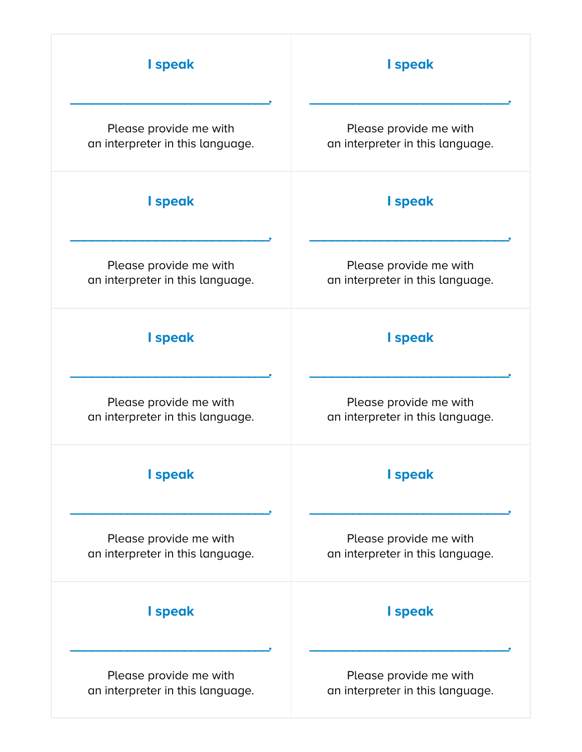| I speak                          | I speak                          |
|----------------------------------|----------------------------------|
| Please provide me with           | Please provide me with           |
| an interpreter in this language. | an interpreter in this language. |
| I speak                          | I speak                          |
| Please provide me with           | Please provide me with           |
| an interpreter in this language. | an interpreter in this language. |
| I speak                          | I speak                          |
| Please provide me with           | Please provide me with           |
| an interpreter in this language. | an interpreter in this language. |
| I speak                          | I speak                          |
| Please provide me with           | Please provide me with           |
| an interpreter in this language. | an interpreter in this language. |
| I speak                          | I speak                          |
| Please provide me with           | Please provide me with           |
| an interpreter in this language. | an interpreter in this language. |